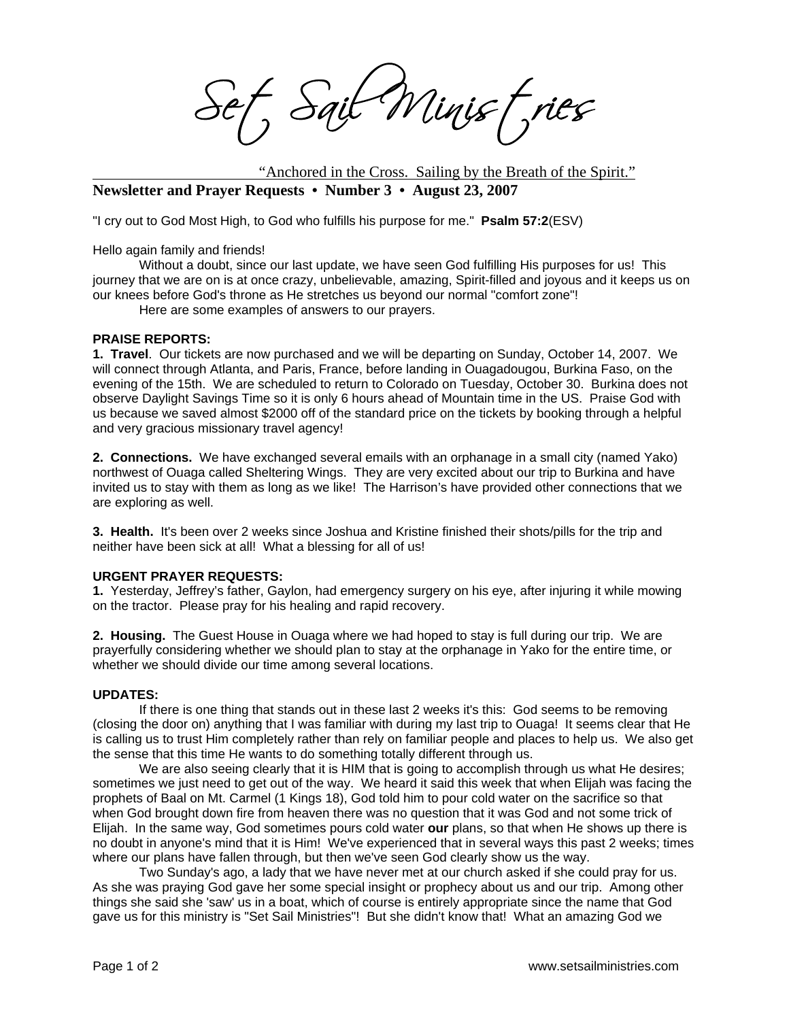Sait Minist, ries

 "Anchored in the Cross. Sailing by the Breath of the Spirit." **Newsletter and Prayer Requests • Number 3 • August 23, 2007** 

"I cry out to God Most High, to God who fulfills his purpose for me." **Psalm 57:2**(ESV)

Hello again family and friends!

Without a doubt, since our last update, we have seen God fulfilling His purposes for us! This journey that we are on is at once crazy, unbelievable, amazing, Spirit-filled and joyous and it keeps us on our knees before God's throne as He stretches us beyond our normal "comfort zone"!

Here are some examples of answers to our prayers.

## **PRAISE REPORTS:**

**1. Travel**. Our tickets are now purchased and we will be departing on Sunday, October 14, 2007. We will connect through Atlanta, and Paris, France, before landing in Ouagadougou, Burkina Faso, on the evening of the 15th. We are scheduled to return to Colorado on Tuesday, October 30. Burkina does not observe Daylight Savings Time so it is only 6 hours ahead of Mountain time in the US. Praise God with us because we saved almost \$2000 off of the standard price on the tickets by booking through a helpful and very gracious missionary travel agency!

**2. Connections.** We have exchanged several emails with an orphanage in a small city (named Yako) northwest of Ouaga called Sheltering Wings. They are very excited about our trip to Burkina and have invited us to stay with them as long as we like! The Harrison's have provided other connections that we are exploring as well.

**3. Health.** It's been over 2 weeks since Joshua and Kristine finished their shots/pills for the trip and neither have been sick at all! What a blessing for all of us!

## **URGENT PRAYER REQUESTS:**

**1.** Yesterday, Jeffrey's father, Gaylon, had emergency surgery on his eye, after injuring it while mowing on the tractor. Please pray for his healing and rapid recovery.

**2. Housing.** The Guest House in Ouaga where we had hoped to stay is full during our trip. We are prayerfully considering whether we should plan to stay at the orphanage in Yako for the entire time, or whether we should divide our time among several locations.

## **UPDATES:**

If there is one thing that stands out in these last 2 weeks it's this: God seems to be removing (closing the door on) anything that I was familiar with during my last trip to Ouaga! It seems clear that He is calling us to trust Him completely rather than rely on familiar people and places to help us. We also get the sense that this time He wants to do something totally different through us.

 We are also seeing clearly that it is HIM that is going to accomplish through us what He desires; sometimes we just need to get out of the way. We heard it said this week that when Elijah was facing the prophets of Baal on Mt. Carmel (1 Kings 18), God told him to pour cold water on the sacrifice so that when God brought down fire from heaven there was no question that it was God and not some trick of Elijah. In the same way, God sometimes pours cold water **our** plans, so that when He shows up there is no doubt in anyone's mind that it is Him! We've experienced that in several ways this past 2 weeks; times where our plans have fallen through, but then we've seen God clearly show us the way.

 Two Sunday's ago, a lady that we have never met at our church asked if she could pray for us. As she was praying God gave her some special insight or prophecy about us and our trip. Among other things she said she 'saw' us in a boat, which of course is entirely appropriate since the name that God gave us for this ministry is "Set Sail Ministries"! But she didn't know that! What an amazing God we